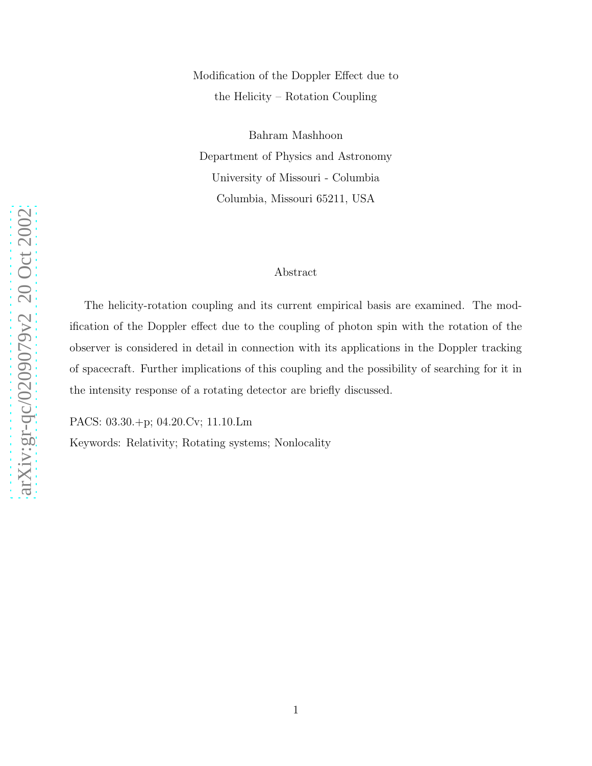Modification of the Doppler Effect due to the Helicity – Rotation Coupling

Bahram Mashhoon Department of Physics and Astronomy University of Missouri - Columbia Columbia, Missouri 65211, USA

## Abstract

The helicity-rotation coupling and its current empirical basis are examined. The modification of the Doppler effect due to the coupling of photon spin with the rotation of the observer is considered in detail in connection with its applications in the Doppler tracking of spacecraft. Further implications of this coupling and the possibility of searching for it in the intensity response of a rotating detector are briefly discussed.

PACS: 03.30.+p; 04.20.Cv; 11.10.Lm

Keywords: Relativity; Rotating systems; Nonlocality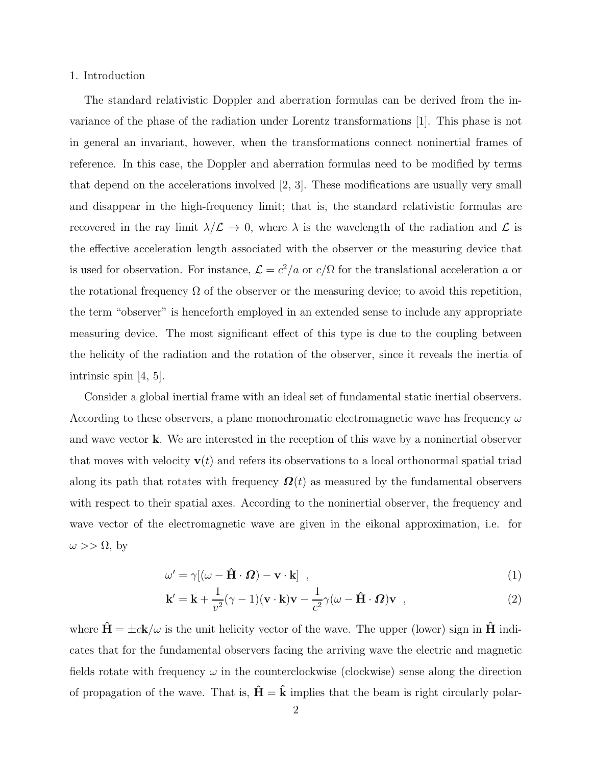#### 1. Introduction

The standard relativistic Doppler and aberration formulas can be derived from the invariance of the phase of the radiation under Lorentz transformations [1]. This phase is not in general an invariant, however, when the transformations connect noninertial frames of reference. In this case, the Doppler and aberration formulas need to be modified by terms that depend on the accelerations involved [2, 3]. These modifications are usually very small and disappear in the high-frequency limit; that is, the standard relativistic formulas are recovered in the ray limit  $\lambda/\mathcal{L} \to 0$ , where  $\lambda$  is the wavelength of the radiation and  $\mathcal{L}$  is the effective acceleration length associated with the observer or the measuring device that is used for observation. For instance,  $\mathcal{L} = c^2/a$  or  $c/\Omega$  for the translational acceleration a or the rotational frequency  $\Omega$  of the observer or the measuring device; to avoid this repetition, the term "observer" is henceforth employed in an extended sense to include any appropriate measuring device. The most significant effect of this type is due to the coupling between the helicity of the radiation and the rotation of the observer, since it reveals the inertia of intrinsic spin [4, 5].

Consider a global inertial frame with an ideal set of fundamental static inertial observers. According to these observers, a plane monochromatic electromagnetic wave has frequency  $\omega$ and wave vector k. We are interested in the reception of this wave by a noninertial observer that moves with velocity  $\mathbf{v}(t)$  and refers its observations to a local orthonormal spatial triad along its path that rotates with frequency  $\Omega(t)$  as measured by the fundamental observers with respect to their spatial axes. According to the noninertial observer, the frequency and wave vector of the electromagnetic wave are given in the eikonal approximation, i.e. for  $\omega >> \Omega$ , by

$$
\omega' = \gamma [(\omega - \hat{H} \cdot \Omega) - \mathbf{v} \cdot \mathbf{k}] \quad , \tag{1}
$$

$$
\mathbf{k}' = \mathbf{k} + \frac{1}{v^2} (\gamma - 1)(\mathbf{v} \cdot \mathbf{k}) \mathbf{v} - \frac{1}{c^2} \gamma (\omega - \hat{\mathbf{H}} \cdot \mathbf{\Omega}) \mathbf{v} , \qquad (2)
$$

where  $\hat{H} = \pm ck/\omega$  is the unit helicity vector of the wave. The upper (lower) sign in  $\hat{H}$  indicates that for the fundamental observers facing the arriving wave the electric and magnetic fields rotate with frequency  $\omega$  in the counterclockwise (clockwise) sense along the direction of propagation of the wave. That is,  $\mathbf{H} = \mathbf{k}$  implies that the beam is right circularly polar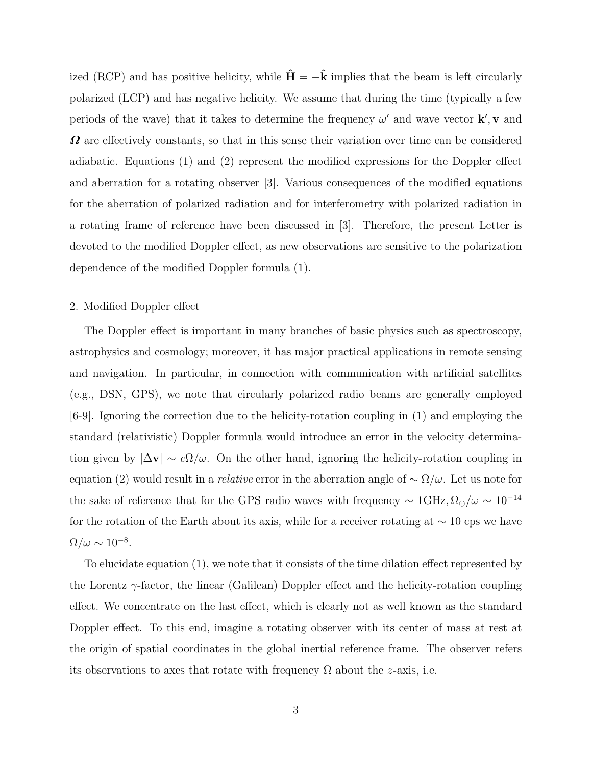ized (RCP) and has positive helicity, while  $\hat{\mathbf{H}} = -\hat{\mathbf{k}}$  implies that the beam is left circularly polarized (LCP) and has negative helicity. We assume that during the time (typically a few periods of the wave) that it takes to determine the frequency  $\omega'$  and wave vector  $\mathbf{k}'$ , v and  $\Omega$  are effectively constants, so that in this sense their variation over time can be considered adiabatic. Equations (1) and (2) represent the modified expressions for the Doppler effect and aberration for a rotating observer [3]. Various consequences of the modified equations for the aberration of polarized radiation and for interferometry with polarized radiation in a rotating frame of reference have been discussed in [3]. Therefore, the present Letter is devoted to the modified Doppler effect, as new observations are sensitive to the polarization dependence of the modified Doppler formula (1).

## 2. Modified Doppler effect

The Doppler effect is important in many branches of basic physics such as spectroscopy, astrophysics and cosmology; moreover, it has major practical applications in remote sensing and navigation. In particular, in connection with communication with artificial satellites (e.g., DSN, GPS), we note that circularly polarized radio beams are generally employed [6-9]. Ignoring the correction due to the helicity-rotation coupling in (1) and employing the standard (relativistic) Doppler formula would introduce an error in the velocity determination given by  $|\Delta v| \sim c\Omega/\omega$ . On the other hand, ignoring the helicity-rotation coupling in equation (2) would result in a *relative* error in the aberration angle of  $\sim \Omega/\omega$ . Let us note for the sake of reference that for the GPS radio waves with frequency  $\sim 1 \text{GHz}, \Omega_{\oplus}/\omega \sim 10^{-14}$ for the rotation of the Earth about its axis, while for a receiver rotating at  $\sim 10$  cps we have  $\Omega/\omega \sim 10^{-8}.$ 

To elucidate equation (1), we note that it consists of the time dilation effect represented by the Lorentz  $\gamma$ -factor, the linear (Galilean) Doppler effect and the helicity-rotation coupling effect. We concentrate on the last effect, which is clearly not as well known as the standard Doppler effect. To this end, imagine a rotating observer with its center of mass at rest at the origin of spatial coordinates in the global inertial reference frame. The observer refers its observations to axes that rotate with frequency  $\Omega$  about the *z*-axis, i.e.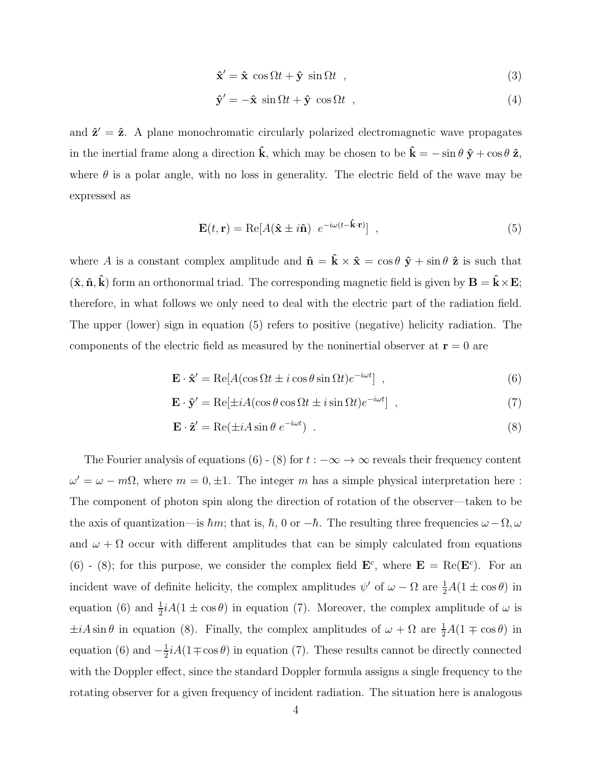$$
\hat{\mathbf{x}}' = \hat{\mathbf{x}} \, \cos \Omega t + \hat{\mathbf{y}} \, \sin \Omega t \quad , \tag{3}
$$

$$
\hat{\mathbf{y}}' = -\hat{\mathbf{x}} \sin \Omega t + \hat{\mathbf{y}} \cos \Omega t \quad , \tag{4}
$$

and  $\hat{z}' = \hat{z}$ . A plane monochromatic circularly polarized electromagnetic wave propagates in the inertial frame along a direction  $\hat{\mathbf{k}}$ , which may be chosen to be  $\hat{\mathbf{k}} = -\sin \theta \hat{\mathbf{y}} + \cos \theta \hat{\mathbf{z}}$ , where  $\theta$  is a polar angle, with no loss in generality. The electric field of the wave may be expressed as

$$
\mathbf{E}(t, \mathbf{r}) = \text{Re}[A(\hat{\mathbf{x}} \pm i\hat{\mathbf{n}}) e^{-i\omega(t-\hat{\mathbf{k}} \cdot \mathbf{r})}], \qquad (5)
$$

where A is a constant complex amplitude and  $\hat{\mathbf{n}} = \hat{\mathbf{k}} \times \hat{\mathbf{x}} = \cos \theta \hat{\mathbf{y}} + \sin \theta \hat{\mathbf{z}}$  is such that  $(\hat{\mathbf{x}}, \hat{\mathbf{n}}, \hat{\mathbf{k}})$  form an orthonormal triad. The corresponding magnetic field is given by  $\mathbf{B} = \hat{\mathbf{k}} \times \mathbf{E}$ ; therefore, in what follows we only need to deal with the electric part of the radiation field. The upper (lower) sign in equation (5) refers to positive (negative) helicity radiation. The components of the electric field as measured by the noninertial observer at  $\mathbf{r} = 0$  are

$$
\mathbf{E} \cdot \hat{\mathbf{x}}' = \text{Re}[A(\cos \Omega t \pm i \cos \theta \sin \Omega t)e^{-i\omega t}], \qquad (6)
$$

$$
\mathbf{E} \cdot \hat{\mathbf{y}}' = \text{Re}[\pm iA(\cos \theta \cos \Omega t \pm i \sin \Omega t)e^{-i\omega t}] \quad , \tag{7}
$$

$$
\mathbf{E} \cdot \hat{\mathbf{z}}' = \text{Re}(\pm iA\sin\theta \ e^{-i\omega t}) \tag{8}
$$

The Fourier analysis of equations (6) - (8) for  $t : -\infty \to \infty$  reveals their frequency content  $\omega' = \omega - m\Omega$ , where  $m = 0, \pm 1$ . The integer m has a simple physical interpretation here: The component of photon spin along the direction of rotation of the observer—taken to be the axis of quantization—is  $\hbar m$ ; that is,  $\hbar$ , 0 or  $-\hbar$ . The resulting three frequencies  $\omega - \Omega$ ,  $\omega$ and  $\omega + \Omega$  occur with different amplitudes that can be simply calculated from equations (6) - (8); for this purpose, we consider the complex field  $\mathbf{E}^c$ , where  $\mathbf{E} = \text{Re}(\mathbf{E}^c)$ . For an incident wave of definite helicity, the complex amplitudes  $\psi'$  of  $\omega - \Omega$  are  $\frac{1}{2}A(1 \pm \cos \theta)$  in equation (6) and  $\frac{1}{2}iA(1 \pm \cos \theta)$  in equation (7). Moreover, the complex amplitude of  $\omega$  is  $\pm iA\sin\theta$  in equation (8). Finally, the complex amplitudes of  $\omega + \Omega$  are  $\frac{1}{2}A(1 \mp \cos\theta)$  in equation (6) and  $-\frac{1}{2}$  $\frac{1}{2}iA(1 \mp \cos \theta)$  in equation (7). These results cannot be directly connected with the Doppler effect, since the standard Doppler formula assigns a single frequency to the rotating observer for a given frequency of incident radiation. The situation here is analogous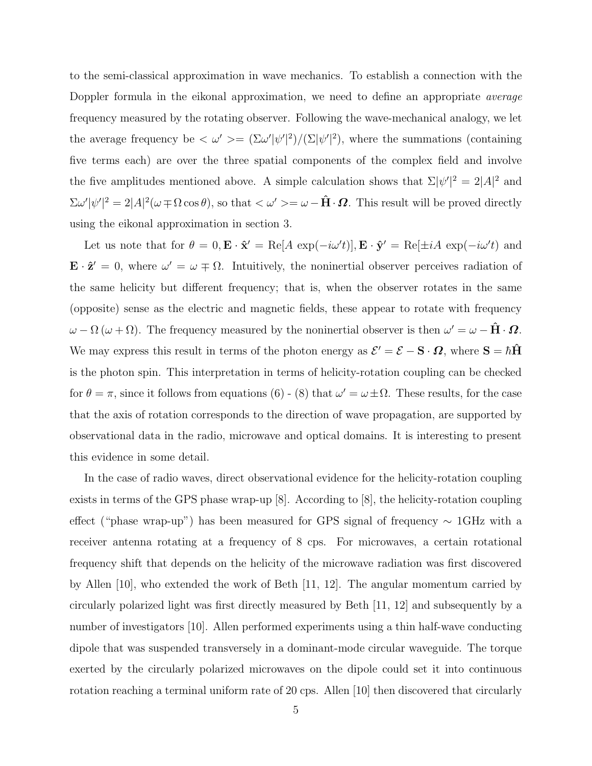to the semi-classical approximation in wave mechanics. To establish a connection with the Doppler formula in the eikonal approximation, we need to define an appropriate *average* frequency measured by the rotating observer. Following the wave-mechanical analogy, we let the average frequency be  $\langle \omega' \rangle = (\Sigma \omega' |\psi'|^2) / (\Sigma |\psi'|^2)$ , where the summations (containing five terms each) are over the three spatial components of the complex field and involve the five amplitudes mentioned above. A simple calculation shows that  $\Sigma |\psi'|^2 = 2|A|^2$  and  $\sum \omega' |\psi'|^2 = 2|A|^2(\omega \mp \Omega \cos \theta)$ , so that  $\langle \omega' \rangle = \omega - \hat{\mathbf{H}} \cdot \mathbf{\Omega}$ . This result will be proved directly using the eikonal approximation in section 3.

Let us note that for  $\theta = 0$ ,  $\mathbf{E} \cdot \hat{\mathbf{x}}' = \text{Re}[A \exp(-i\omega' t)], \mathbf{E} \cdot \hat{\mathbf{y}}' = \text{Re}[\pm iA \exp(-i\omega' t)]$  and  $\mathbf{E} \cdot \hat{\mathbf{z}}' = 0$ , where  $\omega' = \omega \mp \Omega$ . Intuitively, the noninertial observer perceives radiation of the same helicity but different frequency; that is, when the observer rotates in the same (opposite) sense as the electric and magnetic fields, these appear to rotate with frequency  $\omega - \Omega(\omega + \Omega)$ . The frequency measured by the noninertial observer is then  $\omega' = \omega - \hat{H} \cdot \Omega$ . We may express this result in terms of the photon energy as  $\mathcal{E}' = \mathcal{E} - \mathbf{S} \cdot \mathbf{\Omega}$ , where  $\mathbf{S} = \hbar \hat{\mathbf{H}}$ is the photon spin. This interpretation in terms of helicity-rotation coupling can be checked for  $\theta = \pi$ , since it follows from equations (6) - (8) that  $\omega' = \omega \pm \Omega$ . These results, for the case that the axis of rotation corresponds to the direction of wave propagation, are supported by observational data in the radio, microwave and optical domains. It is interesting to present this evidence in some detail.

In the case of radio waves, direct observational evidence for the helicity-rotation coupling exists in terms of the GPS phase wrap-up [8]. According to [8], the helicity-rotation coupling effect ("phase wrap-up") has been measured for GPS signal of frequency ∼ 1GHz with a receiver antenna rotating at a frequency of 8 cps. For microwaves, a certain rotational frequency shift that depends on the helicity of the microwave radiation was first discovered by Allen [10], who extended the work of Beth [11, 12]. The angular momentum carried by circularly polarized light was first directly measured by Beth [11, 12] and subsequently by a number of investigators [10]. Allen performed experiments using a thin half-wave conducting dipole that was suspended transversely in a dominant-mode circular waveguide. The torque exerted by the circularly polarized microwaves on the dipole could set it into continuous rotation reaching a terminal uniform rate of 20 cps. Allen [10] then discovered that circularly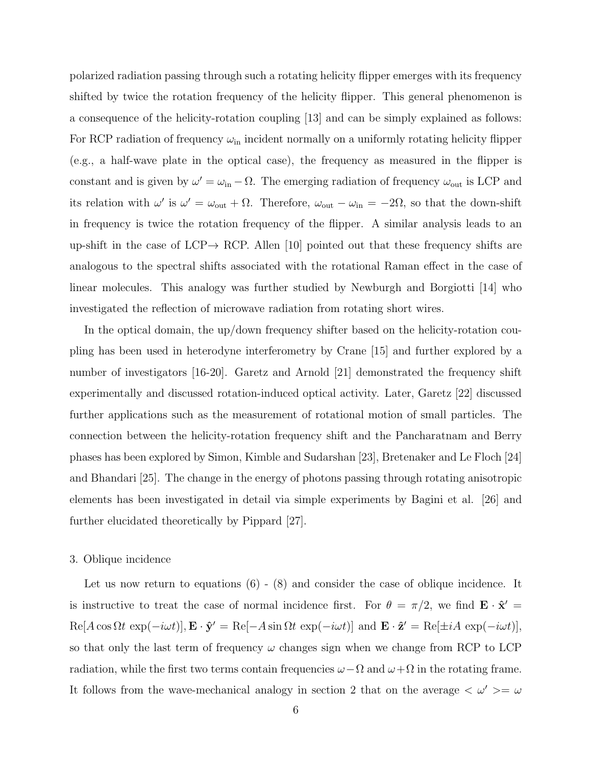polarized radiation passing through such a rotating helicity flipper emerges with its frequency shifted by twice the rotation frequency of the helicity flipper. This general phenomenon is a consequence of the helicity-rotation coupling [13] and can be simply explained as follows: For RCP radiation of frequency  $\omega_{\rm in}$  incident normally on a uniformly rotating helicity flipper (e.g., a half-wave plate in the optical case), the frequency as measured in the flipper is constant and is given by  $\omega' = \omega_{\rm in} - \Omega$ . The emerging radiation of frequency  $\omega_{\rm out}$  is LCP and its relation with  $\omega'$  is  $\omega' = \omega_{\text{out}} + \Omega$ . Therefore,  $\omega_{\text{out}} - \omega_{\text{in}} = -2\Omega$ , so that the down-shift in frequency is twice the rotation frequency of the flipper. A similar analysis leads to an up-shift in the case of LCP $\rightarrow$  RCP. Allen [10] pointed out that these frequency shifts are analogous to the spectral shifts associated with the rotational Raman effect in the case of linear molecules. This analogy was further studied by Newburgh and Borgiotti [14] who investigated the reflection of microwave radiation from rotating short wires.

In the optical domain, the up/down frequency shifter based on the helicity-rotation coupling has been used in heterodyne interferometry by Crane [15] and further explored by a number of investigators [16-20]. Garetz and Arnold [21] demonstrated the frequency shift experimentally and discussed rotation-induced optical activity. Later, Garetz [22] discussed further applications such as the measurement of rotational motion of small particles. The connection between the helicity-rotation frequency shift and the Pancharatnam and Berry phases has been explored by Simon, Kimble and Sudarshan [23], Bretenaker and Le Floch [24] and Bhandari [25]. The change in the energy of photons passing through rotating anisotropic elements has been investigated in detail via simple experiments by Bagini et al. [26] and further elucidated theoretically by Pippard [27].

#### 3. Oblique incidence

Let us now return to equations  $(6)$  -  $(8)$  and consider the case of oblique incidence. It is instructive to treat the case of normal incidence first. For  $\theta = \pi/2$ , we find  $\mathbf{E} \cdot \hat{\mathbf{x}}' =$  $\text{Re}[A\cos\Omega t \, \exp(-i\omega t)], \mathbf{E} \cdot \hat{\mathbf{y}}' = \text{Re}[-A\sin\Omega t \, \exp(-i\omega t)]$  and  $\mathbf{E} \cdot \hat{\mathbf{z}}' = \text{Re}[\pm iA \, \exp(-i\omega t)],$ so that only the last term of frequency  $\omega$  changes sign when we change from RCP to LCP radiation, while the first two terms contain frequencies  $\omega-\Omega$  and  $\omega+\Omega$  in the rotating frame. It follows from the wave-mechanical analogy in section 2 that on the average  $\langle \omega' \rangle = \omega$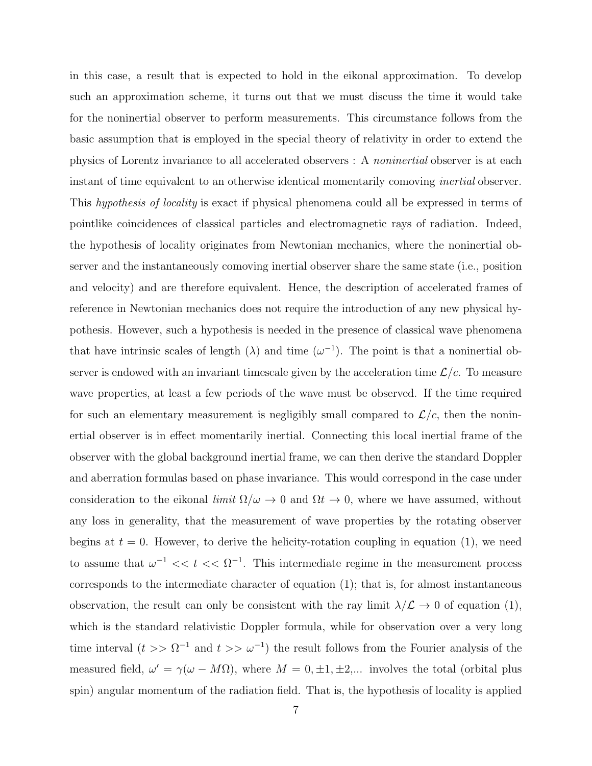in this case, a result that is expected to hold in the eikonal approximation. To develop such an approximation scheme, it turns out that we must discuss the time it would take for the noninertial observer to perform measurements. This circumstance follows from the basic assumption that is employed in the special theory of relativity in order to extend the physics of Lorentz invariance to all accelerated observers : A noninertial observer is at each instant of time equivalent to an otherwise identical momentarily comoving *inertial* observer. This hypothesis of locality is exact if physical phenomena could all be expressed in terms of pointlike coincidences of classical particles and electromagnetic rays of radiation. Indeed, the hypothesis of locality originates from Newtonian mechanics, where the noninertial observer and the instantaneously comoving inertial observer share the same state (i.e., position and velocity) and are therefore equivalent. Hence, the description of accelerated frames of reference in Newtonian mechanics does not require the introduction of any new physical hypothesis. However, such a hypothesis is needed in the presence of classical wave phenomena that have intrinsic scales of length  $(\lambda)$  and time  $(\omega^{-1})$ . The point is that a noninertial observer is endowed with an invariant timescale given by the acceleration time  $\mathcal{L}/c$ . To measure wave properties, at least a few periods of the wave must be observed. If the time required for such an elementary measurement is negligibly small compared to  $\mathcal{L}/c$ , then the noninertial observer is in effect momentarily inertial. Connecting this local inertial frame of the observer with the global background inertial frame, we can then derive the standard Doppler and aberration formulas based on phase invariance. This would correspond in the case under consideration to the eikonal *limit*  $\Omega/\omega \to 0$  and  $\Omega t \to 0$ , where we have assumed, without any loss in generality, that the measurement of wave properties by the rotating observer begins at  $t = 0$ . However, to derive the helicity-rotation coupling in equation (1), we need to assume that  $\omega^{-1} \ll t \ll \Omega^{-1}$ . This intermediate regime in the measurement process corresponds to the intermediate character of equation (1); that is, for almost instantaneous observation, the result can only be consistent with the ray limit  $\lambda/\mathcal{L} \to 0$  of equation (1), which is the standard relativistic Doppler formula, while for observation over a very long time interval  $(t >> \Omega^{-1}$  and  $t >> \omega^{-1}$  the result follows from the Fourier analysis of the measured field,  $\omega' = \gamma(\omega - M\Omega)$ , where  $M = 0, \pm 1, \pm 2,...$  involves the total (orbital plus spin) angular momentum of the radiation field. That is, the hypothesis of locality is applied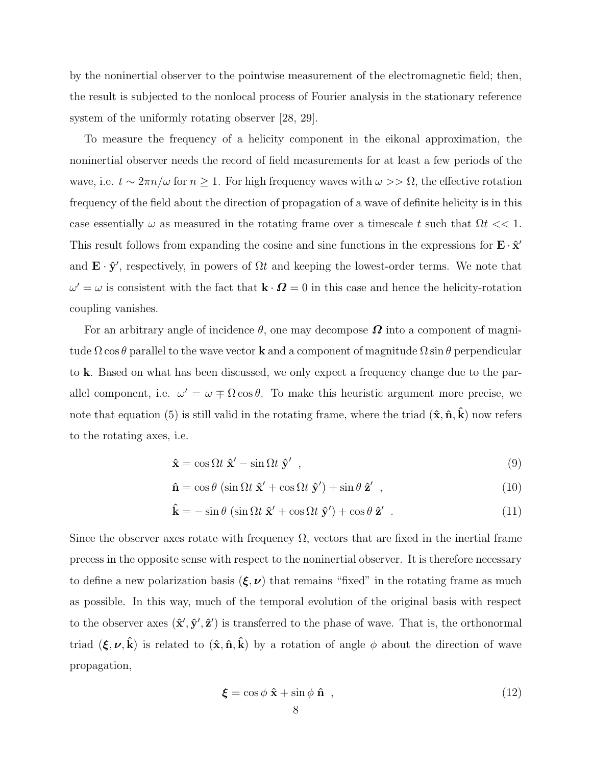by the noninertial observer to the pointwise measurement of the electromagnetic field; then, the result is subjected to the nonlocal process of Fourier analysis in the stationary reference system of the uniformly rotating observer [28, 29].

To measure the frequency of a helicity component in the eikonal approximation, the noninertial observer needs the record of field measurements for at least a few periods of the wave, i.e.  $t \sim 2\pi n/\omega$  for  $n \ge 1$ . For high frequency waves with  $\omega >> \Omega$ , the effective rotation frequency of the field about the direction of propagation of a wave of definite helicity is in this case essentially  $\omega$  as measured in the rotating frame over a timescale t such that  $\Omega t << 1$ . This result follows from expanding the cosine and sine functions in the expressions for  $\mathbf{E} \cdot \hat{\mathbf{x}}'$ and  $\mathbf{E} \cdot \hat{\mathbf{y}}'$ , respectively, in powers of  $\Omega t$  and keeping the lowest-order terms. We note that  $\omega' = \omega$  is consistent with the fact that  $\mathbf{k} \cdot \mathbf{\Omega} = 0$  in this case and hence the helicity-rotation coupling vanishes.

For an arbitrary angle of incidence  $\theta$ , one may decompose  $\Omega$  into a component of magnitude  $\Omega$  cos  $\theta$  parallel to the wave vector **k** and a component of magnitude  $\Omega$  sin  $\theta$  perpendicular to k. Based on what has been discussed, we only expect a frequency change due to the parallel component, i.e.  $\omega' = \omega \mp \Omega \cos \theta$ . To make this heuristic argument more precise, we note that equation (5) is still valid in the rotating frame, where the triad  $(\hat{\mathbf{x}}, \hat{\mathbf{n}}, \hat{\mathbf{k}})$  now refers to the rotating axes, i.e.

$$
\hat{\mathbf{x}} = \cos \Omega t \; \hat{\mathbf{x}}' - \sin \Omega t \; \hat{\mathbf{y}}' \quad , \tag{9}
$$

$$
\hat{\mathbf{n}} = \cos \theta \left( \sin \Omega t \; \hat{\mathbf{x}}' + \cos \Omega t \; \hat{\mathbf{y}}' \right) + \sin \theta \; \hat{\mathbf{z}}' \quad , \tag{10}
$$

$$
\hat{\mathbf{k}} = -\sin\theta \left( \sin\Omega t \ \hat{\mathbf{x}}' + \cos\Omega t \ \hat{\mathbf{y}}' \right) + \cos\theta \ \hat{\mathbf{z}}' \tag{11}
$$

Since the observer axes rotate with frequency  $\Omega$ , vectors that are fixed in the inertial frame precess in the opposite sense with respect to the noninertial observer. It is therefore necessary to define a new polarization basis  $(\xi, \nu)$  that remains "fixed" in the rotating frame as much as possible. In this way, much of the temporal evolution of the original basis with respect to the observer axes  $(\hat{\mathbf{x}}', \hat{\mathbf{y}}', \hat{\mathbf{z}}')$  is transferred to the phase of wave. That is, the orthonormal triad  $(\xi, \nu, \hat{k})$  is related to  $(\hat{x}, \hat{n}, \hat{k})$  by a rotation of angle  $\phi$  about the direction of wave propagation,

$$
\boldsymbol{\xi} = \cos\phi \; \hat{\mathbf{x}} + \sin\phi \; \hat{\mathbf{n}} \quad , \tag{12}
$$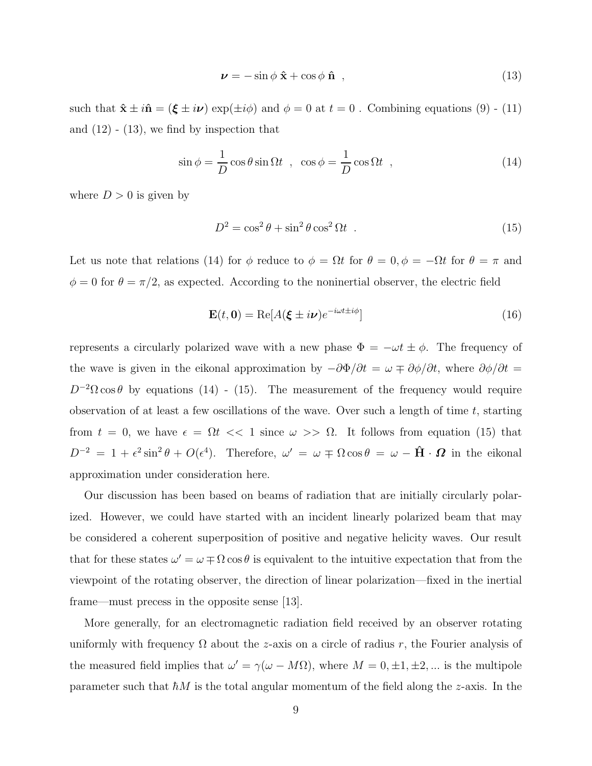$$
\nu = -\sin\phi \hat{\mathbf{x}} + \cos\phi \hat{\mathbf{n}} \tag{13}
$$

such that  $\hat{\mathbf{x}} \pm i\hat{\mathbf{n}} = (\boldsymbol{\xi} \pm i\nu) \exp(\pm i\phi)$  and  $\phi = 0$  at  $t = 0$ . Combining equations (9) - (11) and  $(12) - (13)$ , we find by inspection that

$$
\sin \phi = \frac{1}{D} \cos \theta \sin \Omega t \quad , \quad \cos \phi = \frac{1}{D} \cos \Omega t \quad , \tag{14}
$$

where  $D > 0$  is given by

$$
D^2 = \cos^2 \theta + \sin^2 \theta \cos^2 \Omega t \tag{15}
$$

Let us note that relations (14) for  $\phi$  reduce to  $\phi = \Omega t$  for  $\theta = 0, \phi = -\Omega t$  for  $\theta = \pi$  and  $\phi = 0$  for  $\theta = \pi/2$ , as expected. According to the noninertial observer, the electric field

$$
\mathbf{E}(t, \mathbf{0}) = \text{Re}[A(\boldsymbol{\xi} \pm i\nu)e^{-i\omega t \pm i\phi}] \tag{16}
$$

represents a circularly polarized wave with a new phase  $\Phi = -\omega t \pm \phi$ . The frequency of the wave is given in the eikonal approximation by  $-\partial\Phi/\partial t = \omega \mp \partial\phi/\partial t$ , where  $\partial\phi/\partial t =$  $D^{-2}\Omega \cos\theta$  by equations (14) - (15). The measurement of the frequency would require observation of at least a few oscillations of the wave. Over such a length of time  $t$ , starting from  $t = 0$ , we have  $\epsilon = \Omega t \ll 1$  since  $\omega >> \Omega$ . It follows from equation (15) that  $D^{-2} = 1 + \epsilon^2 \sin^2 \theta + O(\epsilon^4)$ . Therefore,  $\omega' = \omega \mp \Omega \cos \theta = \omega - \hat{H} \cdot \Omega$  in the eikonal approximation under consideration here.

Our discussion has been based on beams of radiation that are initially circularly polarized. However, we could have started with an incident linearly polarized beam that may be considered a coherent superposition of positive and negative helicity waves. Our result that for these states  $\omega' = \omega \mp \Omega \cos \theta$  is equivalent to the intuitive expectation that from the viewpoint of the rotating observer, the direction of linear polarization—fixed in the inertial frame—must precess in the opposite sense [13].

More generally, for an electromagnetic radiation field received by an observer rotating uniformly with frequency  $\Omega$  about the z-axis on a circle of radius r, the Fourier analysis of the measured field implies that  $\omega' = \gamma(\omega - M\Omega)$ , where  $M = 0, \pm 1, \pm 2, ...$  is the multipole parameter such that  $\hbar M$  is the total angular momentum of the field along the z-axis. In the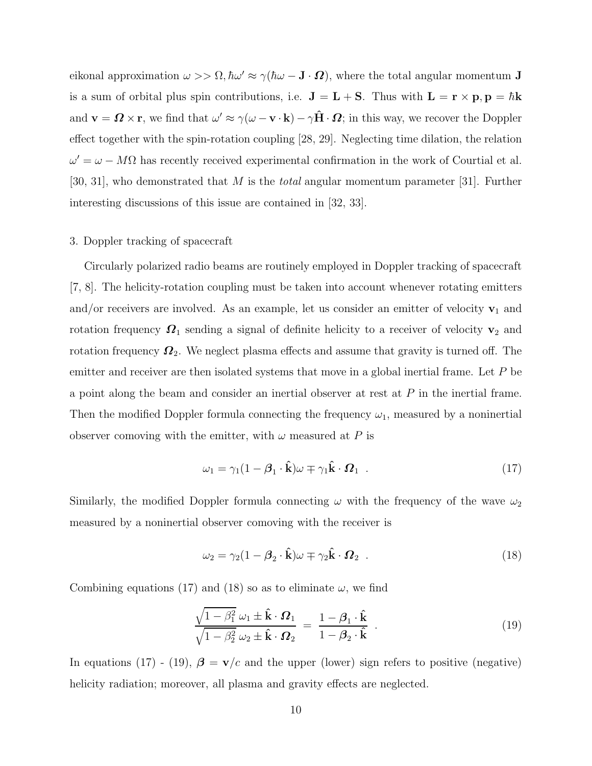eikonal approximation  $\omega >> \Omega$ ,  $\hbar \omega' \approx \gamma(\hbar \omega - \mathbf{J} \cdot \mathbf{\Omega})$ , where the total angular momentum  $\mathbf{J}$ is a sum of orbital plus spin contributions, i.e.  $J = L + S$ . Thus with  $L = r \times p$ ,  $p = \hbar k$ and  $\mathbf{v} = \mathbf{\Omega} \times \mathbf{r}$ , we find that  $\omega' \approx \gamma(\omega - \mathbf{v} \cdot \mathbf{k}) - \gamma \hat{\mathbf{H}} \cdot \mathbf{\Omega}$ ; in this way, we recover the Doppler effect together with the spin-rotation coupling [28, 29]. Neglecting time dilation, the relation  $\omega' = \omega - M\Omega$  has recently received experimental confirmation in the work of Courtial et al. [30, 31], who demonstrated that M is the *total* angular momentum parameter [31]. Further interesting discussions of this issue are contained in [32, 33].

## 3. Doppler tracking of spacecraft

Circularly polarized radio beams are routinely employed in Doppler tracking of spacecraft [7, 8]. The helicity-rotation coupling must be taken into account whenever rotating emitters and/or receivers are involved. As an example, let us consider an emitter of velocity  $v_1$  and rotation frequency  $\mathbf{\Omega}_1$  sending a signal of definite helicity to a receiver of velocity  $\mathbf{v}_2$  and rotation frequency  $\Omega_2$ . We neglect plasma effects and assume that gravity is turned off. The emitter and receiver are then isolated systems that move in a global inertial frame. Let  $P$  be a point along the beam and consider an inertial observer at rest at P in the inertial frame. Then the modified Doppler formula connecting the frequency  $\omega_1$ , measured by a noninertial observer comoving with the emitter, with  $\omega$  measured at P is

$$
\omega_1 = \gamma_1 (1 - \beta_1 \cdot \hat{\mathbf{k}}) \omega \mp \gamma_1 \hat{\mathbf{k}} \cdot \Omega_1 \quad . \tag{17}
$$

Similarly, the modified Doppler formula connecting  $\omega$  with the frequency of the wave  $\omega_2$ measured by a noninertial observer comoving with the receiver is

$$
\omega_2 = \gamma_2 (1 - \beta_2 \cdot \hat{\mathbf{k}}) \omega \mp \gamma_2 \hat{\mathbf{k}} \cdot \Omega_2 \quad . \tag{18}
$$

Combining equations (17) and (18) so as to eliminate  $\omega$ , we find

$$
\frac{\sqrt{1-\beta_1^2}\,\omega_1 \pm \hat{\mathbf{k}} \cdot \boldsymbol{\Omega}_1}{\sqrt{1-\beta_2^2}\,\omega_2 \pm \hat{\mathbf{k}} \cdot \boldsymbol{\Omega}_2} = \frac{1-\boldsymbol{\beta}_1 \cdot \hat{\mathbf{k}}}{1-\boldsymbol{\beta}_2 \cdot \hat{\mathbf{k}}} \tag{19}
$$

In equations (17) - (19),  $\beta = v/c$  and the upper (lower) sign refers to positive (negative) helicity radiation; moreover, all plasma and gravity effects are neglected.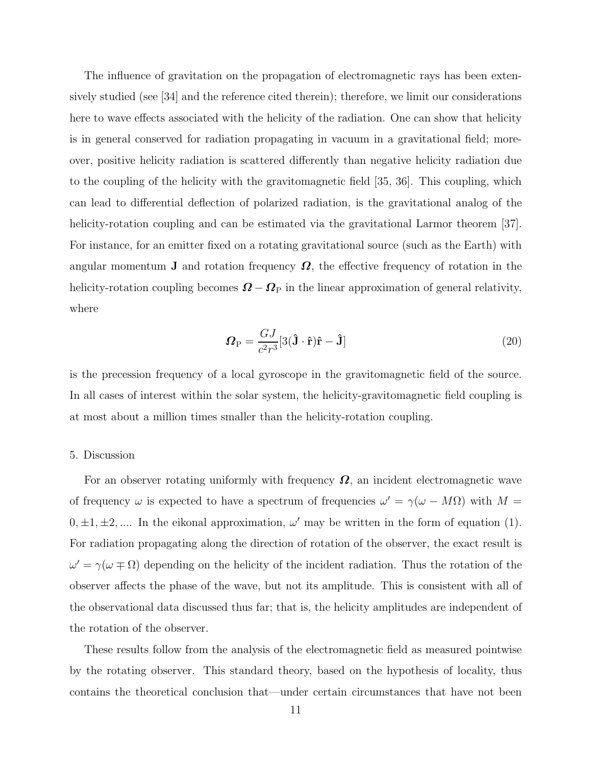The influence of gravitation on the propagation of electromagnetic rays has been extensively studied (see [34] and the reference cited therein); therefore, we limit our considerations here to wave effects associated with the helicity of the radiation. One can show that helicity is in general conserved for radiation propagating in vacuum in a gravitational field; moreover, positive helicity radiation is scattered differently than negative helicity radiation due to the coupling of the helicity with the gravitomagnetic field [35, 36]. This coupling, which can lead to differential deflection of polarized radiation, is the gravitational analog of the helicity-rotation coupling and can be estimated via the gravitational Larmor theorem [37]. For instance, for an emitter fixed on a rotating gravitational source (such as the Earth) with angular momentum **J** and rotation frequency  $\Omega$ , the effective frequency of rotation in the helicity-rotation coupling becomes  $\mathbf{\Omega} - \mathbf{\Omega}_{\text{P}}$  in the linear approximation of general relativity, where

$$
\boldsymbol{\Omega}_{\rm P} = \frac{GJ}{c^2 r^3} [3(\hat{\mathbf{J}} \cdot \hat{\mathbf{r}}) \hat{\mathbf{r}} - \hat{\mathbf{J}}] \tag{20}
$$

is the precession frequency of a local gyroscope in the gravitomagnetic field of the source. In all cases of interest within the solar system, the helicity-gravitomagnetic field coupling is at most about a million times smaller than the helicity-rotation coupling.

#### 5. Discussion

For an observer rotating uniformly with frequency  $\Omega$ , an incident electromagnetic wave of frequency  $\omega$  is expected to have a spectrum of frequencies  $\omega' = \gamma(\omega - M\Omega)$  with  $M =$  $0, \pm 1, \pm 2, \dots$  In the eikonal approximation,  $\omega'$  may be written in the form of equation (1). For radiation propagating along the direction of rotation of the observer, the exact result is  $\omega' = \gamma(\omega \mp \Omega)$  depending on the helicity of the incident radiation. Thus the rotation of the observer affects the phase of the wave, but not its amplitude. This is consistent with all of the observational data discussed thus far; that is, the helicity amplitudes are independent of the rotation of the observer.

These results follow from the analysis of the electromagnetic field as measured pointwise by the rotating observer. This standard theory, based on the hypothesis of locality, thus contains the theoretical conclusion that—under certain circumstances that have not been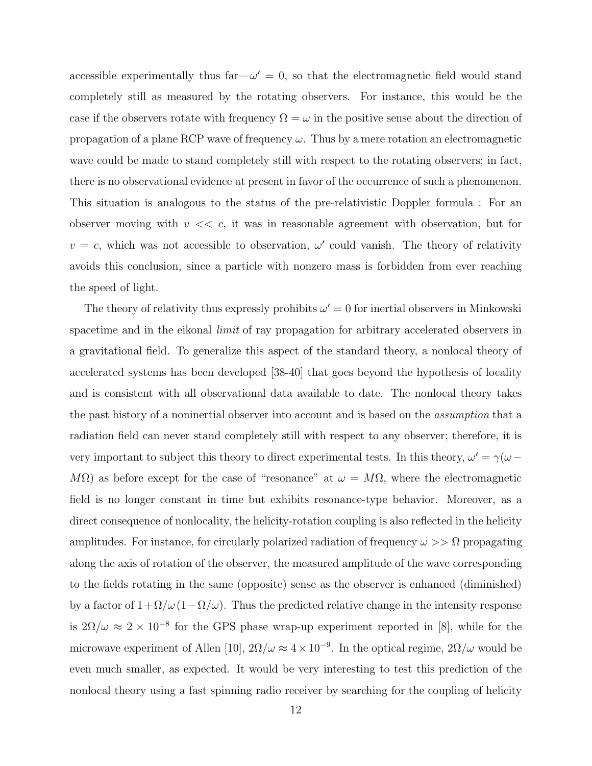accessible experimentally thus far  $-\omega' = 0$ , so that the electromagnetic field would stand completely still as measured by the rotating observers. For instance, this would be the case if the observers rotate with frequency  $\Omega = \omega$  in the positive sense about the direction of propagation of a plane RCP wave of frequency  $\omega$ . Thus by a mere rotation an electromagnetic wave could be made to stand completely still with respect to the rotating observers; in fact, there is no observational evidence at present in favor of the occurrence of such a phenomenon. This situation is analogous to the status of the pre-relativistic Doppler formula : For an observer moving with  $v \ll c$ , it was in reasonable agreement with observation, but for  $v = c$ , which was not accessible to observation,  $\omega'$  could vanish. The theory of relativity avoids this conclusion, since a particle with nonzero mass is forbidden from ever reaching the speed of light.

The theory of relativity thus expressly prohibits  $\omega' = 0$  for inertial observers in Minkowski spacetime and in the eikonal *limit* of ray propagation for arbitrary accelerated observers in a gravitational field. To generalize this aspect of the standard theory, a nonlocal theory of accelerated systems has been developed [38-40] that goes beyond the hypothesis of locality and is consistent with all observational data available to date. The nonlocal theory takes the past history of a noninertial observer into account and is based on the assumption that a radiation field can never stand completely still with respect to any observer; therefore, it is very important to subject this theory to direct experimental tests. In this theory,  $\omega' = \gamma(\omega - \gamma)$ M $\Omega$ ) as before except for the case of "resonance" at  $\omega = M\Omega$ , where the electromagnetic field is no longer constant in time but exhibits resonance-type behavior. Moreover, as a direct consequence of nonlocality, the helicity-rotation coupling is also reflected in the helicity amplitudes. For instance, for circularly polarized radiation of frequency  $\omega >> \Omega$  propagating along the axis of rotation of the observer, the measured amplitude of the wave corresponding to the fields rotating in the same (opposite) sense as the observer is enhanced (diminished) by a factor of  $1+\Omega/\omega(1-\Omega/\omega)$ . Thus the predicted relative change in the intensity response is  $2\Omega/\omega \approx 2 \times 10^{-8}$  for the GPS phase wrap-up experiment reported in [8], while for the microwave experiment of Allen [10],  $2\Omega/\omega \approx 4 \times 10^{-9}$ . In the optical regime,  $2\Omega/\omega$  would be even much smaller, as expected. It would be very interesting to test this prediction of the nonlocal theory using a fast spinning radio receiver by searching for the coupling of helicity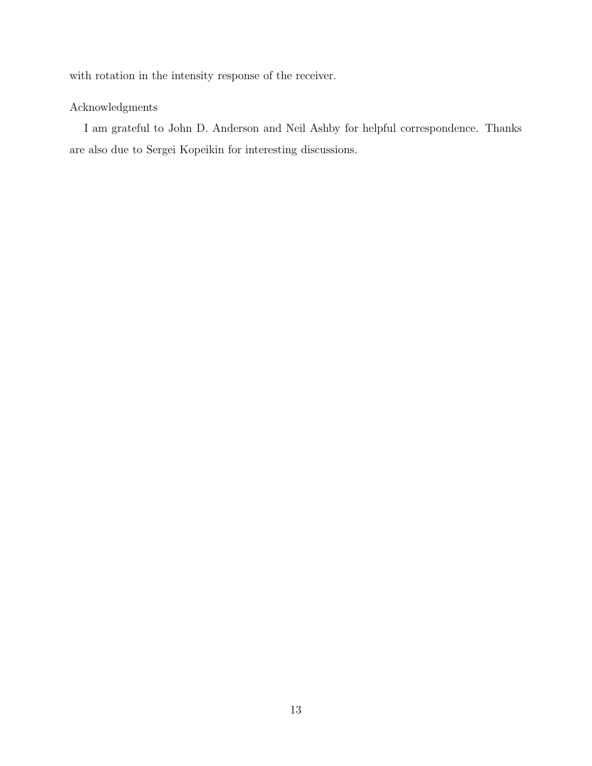with rotation in the intensity response of the receiver.

# Acknowledgments

I am grateful to John D. Anderson and Neil Ashby for helpful correspondence. Thanks are also due to Sergei Kopeikin for interesting discussions.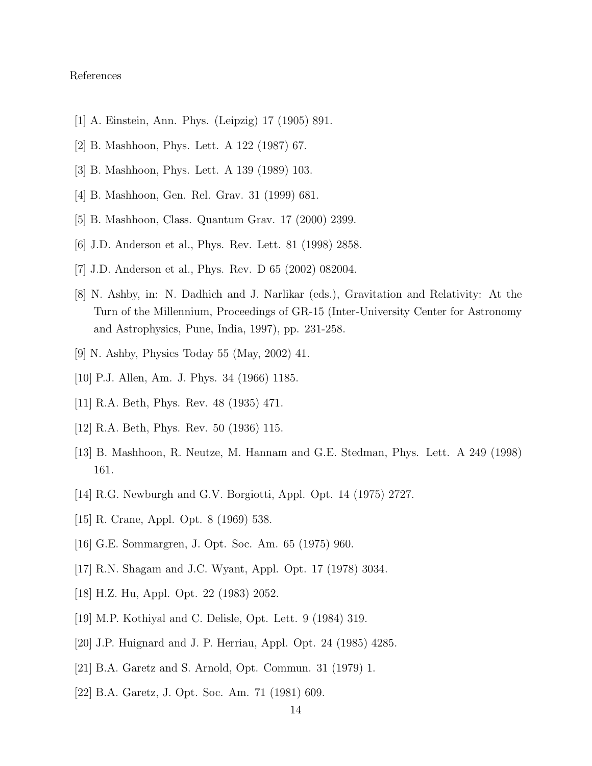# References

- [1] A. Einstein, Ann. Phys. (Leipzig) 17 (1905) 891.
- [2] B. Mashhoon, Phys. Lett. A 122 (1987) 67.
- [3] B. Mashhoon, Phys. Lett. A 139 (1989) 103.
- [4] B. Mashhoon, Gen. Rel. Grav. 31 (1999) 681.
- [5] B. Mashhoon, Class. Quantum Grav. 17 (2000) 2399.
- [6] J.D. Anderson et al., Phys. Rev. Lett. 81 (1998) 2858.
- [7] J.D. Anderson et al., Phys. Rev. D 65 (2002) 082004.
- [8] N. Ashby, in: N. Dadhich and J. Narlikar (eds.), Gravitation and Relativity: At the Turn of the Millennium, Proceedings of GR-15 (Inter-University Center for Astronomy and Astrophysics, Pune, India, 1997), pp. 231-258.
- [9] N. Ashby, Physics Today 55 (May, 2002) 41.
- [10] P.J. Allen, Am. J. Phys. 34 (1966) 1185.
- [11] R.A. Beth, Phys. Rev. 48 (1935) 471.
- [12] R.A. Beth, Phys. Rev. 50 (1936) 115.
- [13] B. Mashhoon, R. Neutze, M. Hannam and G.E. Stedman, Phys. Lett. A 249 (1998) 161.
- [14] R.G. Newburgh and G.V. Borgiotti, Appl. Opt. 14 (1975) 2727.
- [15] R. Crane, Appl. Opt. 8 (1969) 538.
- [16] G.E. Sommargren, J. Opt. Soc. Am. 65 (1975) 960.
- [17] R.N. Shagam and J.C. Wyant, Appl. Opt. 17 (1978) 3034.
- [18] H.Z. Hu, Appl. Opt. 22 (1983) 2052.
- [19] M.P. Kothiyal and C. Delisle, Opt. Lett. 9 (1984) 319.
- [20] J.P. Huignard and J. P. Herriau, Appl. Opt. 24 (1985) 4285.
- [21] B.A. Garetz and S. Arnold, Opt. Commun. 31 (1979) 1.
- [22] B.A. Garetz, J. Opt. Soc. Am. 71 (1981) 609.